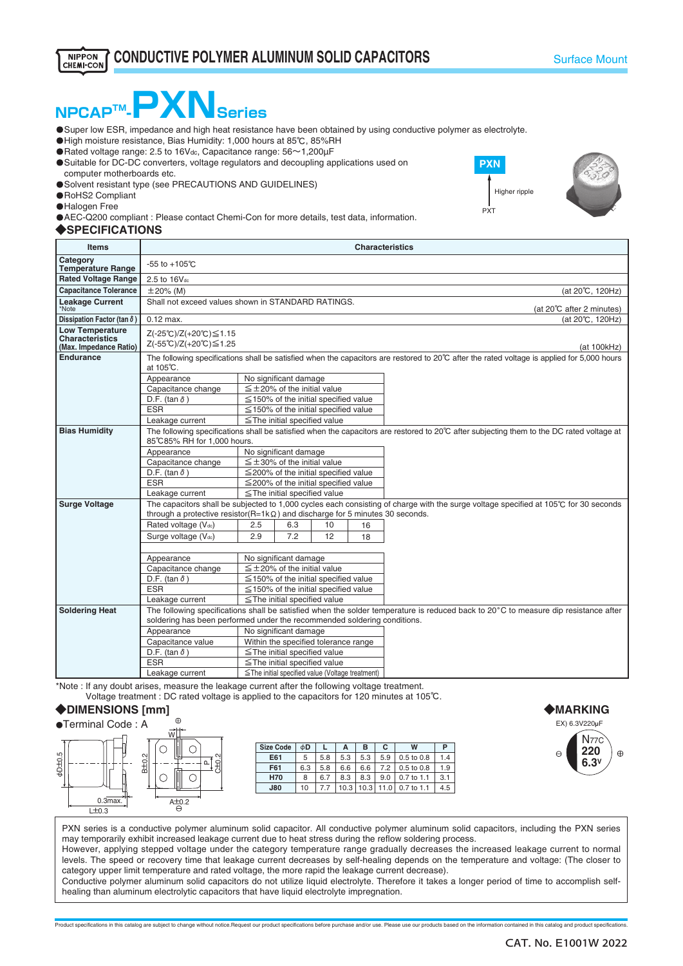# **NPCAPTM**

・Super low ESR, impedance and high heat resistance have been obtained by using conductive polymer as electrolyte.

● High moisture resistance, Bias Humidity: 1,000 hours at 85℃, 85%RH

 $\bullet$  Rated voltage range: 2.5 to 16V<sub>dc</sub>, Capacitance range:  $56 \sim 1,200 \mu$ F

**O** Suitable for DC-DC converters, voltage regulators and decoupling applications used on computer motherboards etc.

O Solvent resistant type (see PRECAUTIONS AND GUIDELINES)

・RoHS2 Compliant

**O**Halogen Free

・AEC-Q200 compliant : Please contact Chemi-Con for more details, test data, information.

### ◆**SPECIFICATIONS**

| <b>Items</b>                                                        | <b>Characteristics</b>                                                                                                                                                                                          |                                                        |                                   |                                            |    |                                                                                                                                     |  |
|---------------------------------------------------------------------|-----------------------------------------------------------------------------------------------------------------------------------------------------------------------------------------------------------------|--------------------------------------------------------|-----------------------------------|--------------------------------------------|----|-------------------------------------------------------------------------------------------------------------------------------------|--|
| Category<br><b>Temperature Range</b>                                | $-55$ to $+105^{\circ}$ C                                                                                                                                                                                       |                                                        |                                   |                                            |    |                                                                                                                                     |  |
| <b>Rated Voltage Range</b>                                          | 2.5 to 16V <sub>dc</sub>                                                                                                                                                                                        |                                                        |                                   |                                            |    |                                                                                                                                     |  |
| <b>Capacitance Tolerance</b>                                        | $\pm 20\%$ (M)                                                                                                                                                                                                  |                                                        |                                   |                                            |    | (at 20°C, 120Hz)                                                                                                                    |  |
| <b>Leakage Current</b><br>*Note                                     | Shall not exceed values shown in STANDARD RATINGS.                                                                                                                                                              |                                                        |                                   |                                            |    | (at 20°C after 2 minutes)                                                                                                           |  |
| Dissipation Factor (tan $\delta$ )                                  | $0.12$ max.                                                                                                                                                                                                     |                                                        |                                   |                                            |    | (at 20°C, 120Hz)                                                                                                                    |  |
| <b>Low Temperature</b><br>Characteristics<br>(Max. Impedance Ratio) | Z(-25℃)/Z(+20℃)≤1.15<br>Z(-55℃)/Z(+20℃)≤1.25                                                                                                                                                                    |                                                        |                                   |                                            |    | (at 100kHz)                                                                                                                         |  |
| Endurance                                                           | The following specifications shall be satisfied when the capacitors are restored to 20°C after the rated voltage is applied for 5,000 hours<br>at 105℃.                                                         |                                                        |                                   |                                            |    |                                                                                                                                     |  |
|                                                                     | Appearance                                                                                                                                                                                                      | No significant damage                                  |                                   |                                            |    |                                                                                                                                     |  |
|                                                                     | Capacitance change                                                                                                                                                                                              | $\leq \pm 20\%$ of the initial value                   |                                   |                                            |    |                                                                                                                                     |  |
|                                                                     | D.F. (tan $\delta$ )                                                                                                                                                                                            |                                                        |                                   | $\leq$ 150% of the initial specified value |    |                                                                                                                                     |  |
|                                                                     | <b>ESR</b>                                                                                                                                                                                                      | $\leq$ 150% of the initial specified value             |                                   |                                            |    |                                                                                                                                     |  |
|                                                                     | Leakage current                                                                                                                                                                                                 | $\le$ The initial specified value                      |                                   |                                            |    |                                                                                                                                     |  |
| <b>Bias Humidity</b>                                                | The following specifications shall be satisfied when the capacitors are restored to 20°C after subjecting them to the DC rated voltage at<br>85℃85% RH for 1.000 hours.                                         |                                                        |                                   |                                            |    |                                                                                                                                     |  |
|                                                                     | Appearance                                                                                                                                                                                                      |                                                        | No significant damage             |                                            |    |                                                                                                                                     |  |
|                                                                     | Capacitance change                                                                                                                                                                                              | $\leq \pm 30\%$ of the initial value                   |                                   |                                            |    |                                                                                                                                     |  |
|                                                                     | D.F. (tan $\delta$ )                                                                                                                                                                                            | $\leq$ 200% of the initial specified value             |                                   |                                            |    |                                                                                                                                     |  |
|                                                                     | <b>ESR</b>                                                                                                                                                                                                      | $\leq$ 200% of the initial specified value             |                                   |                                            |    |                                                                                                                                     |  |
|                                                                     | Leakage current                                                                                                                                                                                                 | $\le$ The initial specified value                      |                                   |                                            |    |                                                                                                                                     |  |
| <b>Surge Voltage</b>                                                |                                                                                                                                                                                                                 |                                                        |                                   |                                            |    | The capacitors shall be subjected to 1,000 cycles each consisting of charge with the surge voltage specified at 105℃ for 30 seconds |  |
|                                                                     | through a protective resistor( $R=1k\Omega$ ) and discharge for 5 minutes 30 seconds.                                                                                                                           |                                                        |                                   |                                            |    |                                                                                                                                     |  |
|                                                                     | Rated voltage (V <sub>dc</sub> )                                                                                                                                                                                | 2.5                                                    | 6.3                               | 10                                         | 16 |                                                                                                                                     |  |
|                                                                     | Surge voltage (Vdc)                                                                                                                                                                                             | 2.9                                                    | 7.2                               | 12                                         | 18 |                                                                                                                                     |  |
|                                                                     |                                                                                                                                                                                                                 |                                                        |                                   |                                            |    |                                                                                                                                     |  |
|                                                                     | Appearance                                                                                                                                                                                                      | No significant damage                                  |                                   |                                            |    |                                                                                                                                     |  |
|                                                                     | Capacitance change                                                                                                                                                                                              | $\leq$ ±20% of the initial value                       |                                   |                                            |    |                                                                                                                                     |  |
|                                                                     | D.F. (tan $\delta$ )                                                                                                                                                                                            | $\leq$ 150% of the initial specified value             |                                   |                                            |    |                                                                                                                                     |  |
|                                                                     | <b>ESR</b>                                                                                                                                                                                                      | $\leq$ 150% of the initial specified value             |                                   |                                            |    |                                                                                                                                     |  |
|                                                                     | Leakage current                                                                                                                                                                                                 | $\le$ The initial specified value                      |                                   |                                            |    |                                                                                                                                     |  |
| <b>Soldering Heat</b>                                               | The following specifications shall be satisfied when the solder temperature is reduced back to 20°C to measure dip resistance after<br>soldering has been performed under the recommended soldering conditions. |                                                        |                                   |                                            |    |                                                                                                                                     |  |
|                                                                     | Appearance                                                                                                                                                                                                      | No significant damage                                  |                                   |                                            |    |                                                                                                                                     |  |
|                                                                     | Capacitance value                                                                                                                                                                                               |                                                        |                                   | Within the specified tolerance range       |    |                                                                                                                                     |  |
|                                                                     | D.F. (tan $\delta$ )                                                                                                                                                                                            |                                                        | $\le$ The initial specified value |                                            |    |                                                                                                                                     |  |
|                                                                     | <b>ESR</b>                                                                                                                                                                                                      |                                                        | $\le$ The initial specified value |                                            |    |                                                                                                                                     |  |
|                                                                     | Leakage current                                                                                                                                                                                                 | $\leq$ The initial specified value (Voltage treatment) |                                   |                                            |    |                                                                                                                                     |  |

\*Note : If any doubt arises, measure the leakage current after the following voltage treatment. Voltage treatment : DC rated voltage is applied to the capacitors for 120 minutes at 105℃.

## ◆**DIMENSIONS [mm]**



| <b>Size Code</b> | φD  |     | A    | в    | С    | w              | Р   |
|------------------|-----|-----|------|------|------|----------------|-----|
| E61              | 5   | 5.8 | 5.3  | 5.3  | 5.9  | 0.5 to 0.8     | 1.4 |
| F61              | 6.3 | 5.8 | 6.6  | 6.6  | 7.2  | $0.5$ to $0.8$ | 1.9 |
| <b>H70</b>       | 8   | 6.7 | 8.3  | 8.3  | 9.0  | $0.7$ to 1.1   | 3.1 |
| <b>J80</b>       | 10  | 7.7 | 10.3 | 10.3 | 11.0 | 0.7 to 1.1     | 4.5 |



PXN series is a conductive polymer aluminum solid capacitor. All conductive polymer aluminum solid capacitors, including the PXN series may temporarily exhibit increased leakage current due to heat stress during the reflow soldering process.

However, applying stepped voltage under the category temperature range gradually decreases the increased leakage current to normal levels. The speed or recovery time that leakage current decreases by self-healing depends on the temperature and voltage: (The closer to category upper limit temperature and rated voltage, the more rapid the leakage current decrease).

Conductive polymer aluminum solid capacitors do not utilize liquid electrolyte. Therefore it takes a longer period of time to accomplish selfhealing than aluminum electrolytic capacitors that have liquid electrolyte impregnation.

Product specifications in this catalog are subject to change without notice.Request our product specifications before purchase and/or use. Please use our products based on the information contained in this catalog and prod



**PXN**